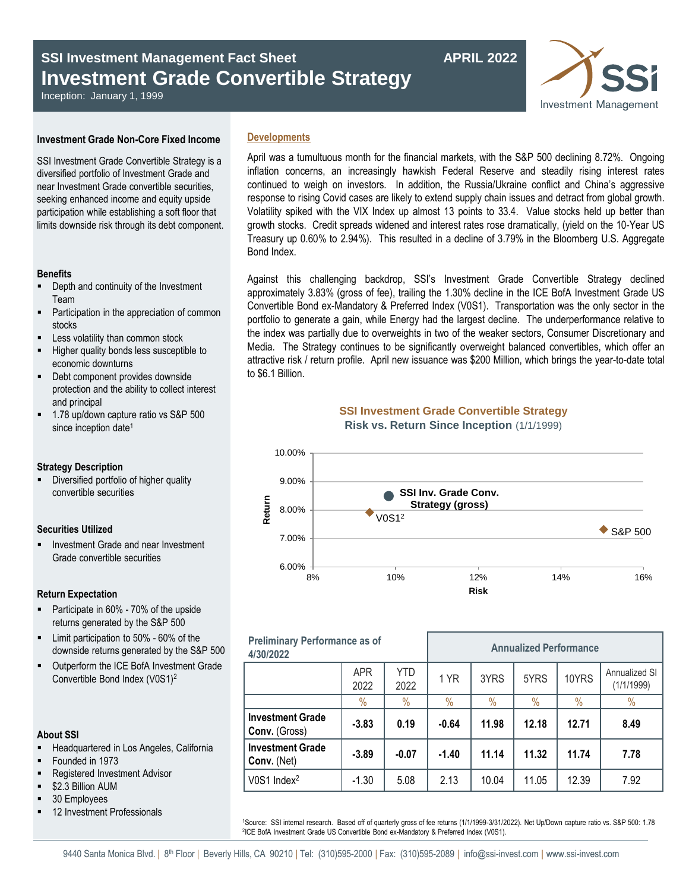# **SSI Investment Management Fact Sheet Management Fact Sheet APRIL 2022 Investment Grade Convertible Strategy**

Inception: January 1, 1999

## **Investment Grade Non-Core Fixed Income**

SSI Investment Grade Convertible Strategy is a diversified portfolio of Investment Grade and near Investment Grade convertible securities, seeking enhanced income and equity upside participation while establishing a soft floor that limits downside risk through its debt component.

## **Benefits**

- Depth and continuity of the Investment Team
- Participation in the appreciation of common stocks
- Less volatility than common stock
- Higher quality bonds less susceptible to economic downturns
- Debt component provides downside protection and the ability to collect interest and principal
- 1.78 up/down capture ratio vs S&P 500 since inception date<sup>1</sup>

## **Strategy Description**

 Diversified portfolio of higher quality convertible securities

## **Securities Utilized**

■ Investment Grade and near Investment Grade convertible securities

## **Return Expectation**

- Participate in 60% 70% of the upside returns generated by the S&P 500
- Limit participation to 50% 60% of the downside returns generated by the S&P 500
- Outperform the ICE BofA Investment Grade Convertible Bond Index (V0S1)<sup>2</sup>

## **About SSI**

- Headquartered in Los Angeles, California
- Founded in 1973
- Registered Investment Advisor
- \$2.3 Billion AUM
- 30 Employees
- 12 Investment Professionals

## **Developments**

April was a tumultuous month for the financial markets, with the S&P 500 declining 8.72%. Ongoing inflation concerns, an increasingly hawkish Federal Reserve and steadily rising interest rates continued to weigh on investors. In addition, the Russia/Ukraine conflict and China's aggressive response to rising Covid cases are likely to extend supply chain issues and detract from global growth. Volatility spiked with the VIX Index up almost 13 points to 33.4. Value stocks held up better than growth stocks. Credit spreads widened and interest rates rose dramatically, (yield on the 10-Year US Treasury up 0.60% to 2.94%). This resulted in a decline of 3.79% in the Bloomberg U.S. Aggregate Bond Index.

Against this challenging backdrop, SSI's Investment Grade Convertible Strategy declined approximately 3.83% (gross of fee), trailing the 1.30% decline in the ICE BofA Investment Grade US Convertible Bond ex-Mandatory & Preferred Index (V0S1). Transportation was the only sector in the portfolio to generate a gain, while Energy had the largest decline. The underperformance relative to the index was partially due to overweights in two of the weaker sectors, Consumer Discretionary and Media. The Strategy continues to be significantly overweight balanced convertibles, which offer an attractive risk / return profile. April new issuance was \$200 Million, which brings the year-to-date total to \$6.1 Billion.

# **SSI Investment Grade Convertible Strategy**





| <b>Preliminary Performance as of</b><br>4/30/2022 |                    |                    | <b>Annualized Performance</b> |       |       |               |                             |
|---------------------------------------------------|--------------------|--------------------|-------------------------------|-------|-------|---------------|-----------------------------|
|                                                   | <b>APR</b><br>2022 | <b>YTD</b><br>2022 | 1 YR                          | 3YRS  | 5YRS  | 10YRS         | Annualized SI<br>(1/1/1999) |
|                                                   | $\%$               | $\%$               | $\%$                          | $\%$  | $\%$  | $\frac{0}{0}$ | $\%$                        |
| <b>Investment Grade</b><br>Conv. (Gross)          | $-3.83$            | 0.19               | $-0.64$                       | 11.98 | 12.18 | 12.71         | 8.49                        |
| <b>Investment Grade</b><br>Conv. (Net)            | $-3.89$            | $-0.07$            | $-1.40$                       | 11.14 | 11.32 | 11.74         | 7.78                        |
| V0S1 Index <sup>2</sup>                           | $-1.30$            | 5.08               | 2.13                          | 10.04 | 11.05 | 12.39         | 7.92                        |

<sup>1</sup>Source: SSI internal research. Based off of quarterly gross of fee returns (1/1/1999-3/31/2022). Net Up/Down capture ratio vs. S&P 500: 1.78 2 ICE BofA Investment Grade US Convertible Bond ex-Mandatory & Preferred Index (V0S1).